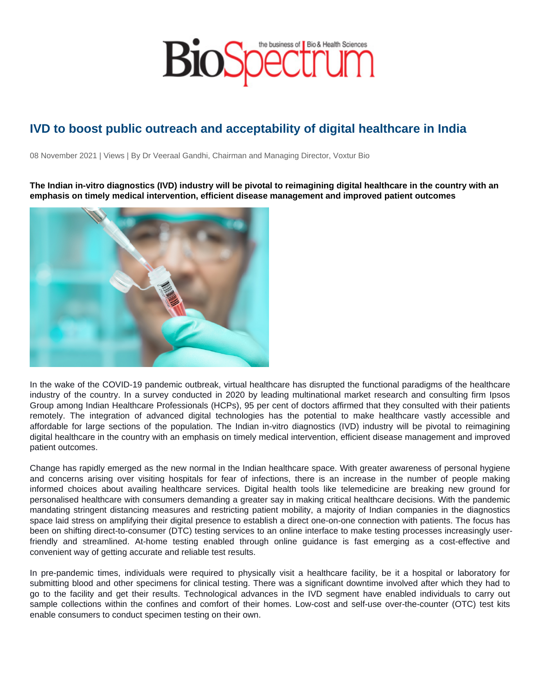## IVD to boost public outreach and acceptability of digital healthcare in India

08 November 2021 | Views | By Dr Veeraal Gandhi, Chairman and Managing Director, Voxtur Bio

The Indian in-vitro diagnostics (IVD) industry will be pivotal to reimagining digital healthcare in the country with an emphasis on timely medical intervention, efficient disease management and improved patient outcomes

In the wake of the COVID-19 pandemic outbreak, virtual healthcare has disrupted the functional paradigms of the healthcare industry of the country. In a survey conducted in 2020 by leading multinational market research and consulting firm Ipsos Group among Indian Healthcare Professionals (HCPs), 95 per cent of doctors affirmed that they consulted with their patients remotely. The integration of advanced digital technologies has the potential to make healthcare vastly accessible and affordable for large sections of the population. The Indian in-vitro diagnostics (IVD) industry will be pivotal to reimagining digital healthcare in the country with an emphasis on timely medical intervention, efficient disease management and improved patient outcomes.

Change has rapidly emerged as the new normal in the Indian healthcare space. With greater awareness of personal hygiene and concerns arising over visiting hospitals for fear of infections, there is an increase in the number of people making informed choices about availing healthcare services. Digital health tools like telemedicine are breaking new ground for personalised healthcare with consumers demanding a greater say in making critical healthcare decisions. With the pandemic mandating stringent distancing measures and restricting patient mobility, a majority of Indian companies in the diagnostics space laid stress on amplifying their digital presence to establish a direct one-on-one connection with patients. The focus has been on shifting direct-to-consumer (DTC) testing services to an online interface to make testing processes increasingly userfriendly and streamlined. At-home testing enabled through online guidance is fast emerging as a cost-effective and convenient way of getting accurate and reliable test results.

In pre-pandemic times, individuals were required to physically visit a healthcare facility, be it a hospital or laboratory for submitting blood and other specimens for clinical testing. There was a significant downtime involved after which they had to go to the facility and get their results. Technological advances in the IVD segment have enabled individuals to carry out sample collections within the confines and comfort of their homes. Low-cost and self-use over-the-counter (OTC) test kits enable consumers to conduct specimen testing on their own.